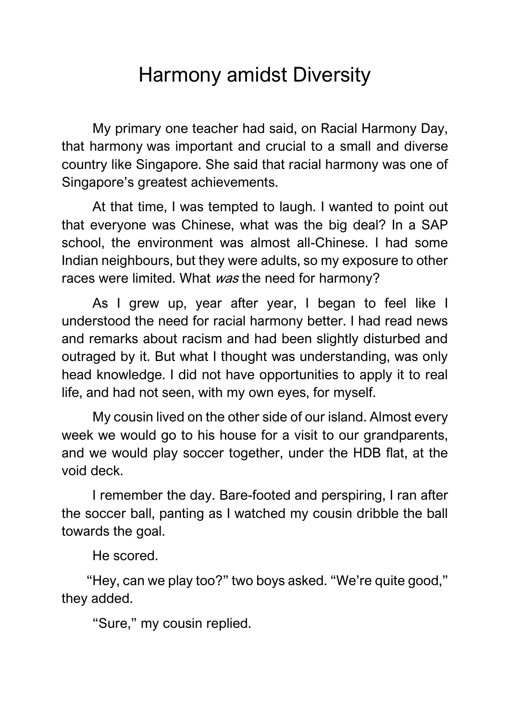## Harmony amidst Diversity

My primary one teacher had said, on Racial Harmony Day, that harmony was important and crucial to a small and diverse country like Singapore. She said that racial harmony was one of Singapore's greatest achievements.

At that time, I was tempted to laugh. I wanted to point out that everyone was Chinese, what was the big deal? In a SAP school, the environment was almost all-Chinese. I had some Indian neighbours, but they were adults, so my exposure to other races were limited. What was the need for harmony?

As I grew up, year after year, I began to feel like I understood the need for racial harmony better. I had read news and remarks about racism and had been slightly disturbed and outraged by it. But what I thought was understanding, was only head knowledge. I did not have opportunities to apply it to real life, and had not seen, with my own eyes, for myself.

My cousin lived on the other side of our island. Almost every week we would go to his house for a visit to our grandparents, and we would play soccer together, under the HDB flat, at the void deck.

I remember the day. Bare-footed and perspiring, I ran after the soccer ball, panting as I watched my cousin dribble the ball towards the goal.

He scored.

"Hey, can we play too?" two boys asked. "We're quite good," they added.

"Sure," my cousin replied.